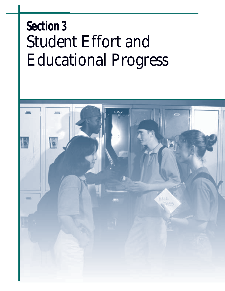# **Section 3** *Student Effort and Educational Progress*

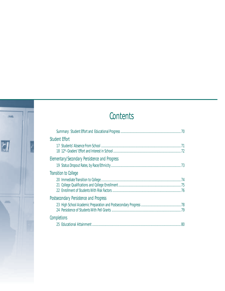## **Contents**

au.

J

×

| <b>Student Effort</b>                         |  |
|-----------------------------------------------|--|
|                                               |  |
| Elementary/Secondary Persistence and Progress |  |
|                                               |  |
| Transition to College                         |  |
|                                               |  |
|                                               |  |
| Postsecondary Persistence and Progress        |  |
|                                               |  |
|                                               |  |
| Completions                                   |  |
|                                               |  |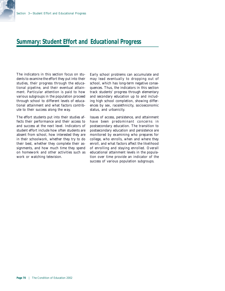#### **Summary: Student Effort and Educational Progress**

The indicators in this section focus on students to examine the effort they put into their studies, their progress through the educational pipeline, and their eventual attainment. Particular attention is paid to how various subgroups in the population proceed through school to different levels of educational attainment and what factors contribute to their success along the way.

The effort students put into their studies affects their performance and their access to and success at the next level. Indicators of student effort include how often students are absent from school, how interested they are in their schoolwork, whether they try to do their best, whether they complete their assignments, and how much time they spend on homework and other activities such as work or watching television.

Early school problems can accumulate and may lead eventually to dropping out of school, which has long-term negative consequences. Thus, the indicators in this section track students' progress through elementary and secondary education up to and including high school completion, showing differences by sex, race/ethnicity, socioeconomic status, and urbanicity.

Issues of access, persistence, and attainment have been predominant concerns in postsecondary education. The transition to postsecondary education and persistence are monitored by examining who prepares for college, who enrolls, when and where they enroll, and what factors affect the likelihood of enrolling and staying enrolled. Overall educational attainment levels in the population over time provide an indicator of the success of various population subgroups.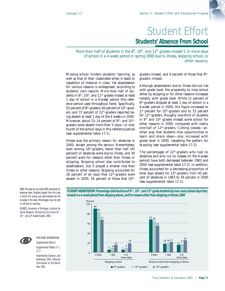### *Student Effort* **Students' Absence From School**

*More than half of students in the 8<sup>th</sup>, 10<sup>th</sup>, and 12<sup>th</sup> grades missed 1 or more days of school in a 4-week period in spring 2000 due to illness, skipping school, or other reasons.*

Missing school hinders students' learning, as well as that of their classmates when it leads to repetition of material in class. Yet absenteeism for various reasons is widespread, according to students' own reports. More than half of students in  $8<sup>th</sup>$ ,  $10<sup>th</sup>$ , and  $12<sup>th</sup>$  grades missed at least 1 day of school in a 4-week period (the reference period used throughout here). Specifically, 55 percent of  $8<sup>th</sup>$ -graders, 60 percent of  $10<sup>th</sup>$ -graders, and 72 percent of  $12<sup>th</sup>$ -graders reported being absent at least 1 day of the 4 weeks in 2000. Moreover, about 13-14 percent of  $8<sup>th</sup>$ - and  $10<sup>th</sup>$ graders were absent more than 5 days—or onefourth of the school days in this reference period (see supplemental table 17-1).

Illness was the primary reason for absences in 2000, except among the seniors. Nevertheless, even among  $10<sup>th</sup>$ -graders, fewer than half (45) percent) of absences were due to illness, and 39 percent were for reasons other than illness or skipping. Skipping school also contributed to absenteeism, but it played a smaller role than illness or other reasons. Skipping accounted for 26 percent of all days that  $12<sup>th</sup>$ -graders were absent in 2000, 16 percent of those that  $10<sup>th</sup>$ -

graders missed, and 9 percent of those that 8<sup>th</sup>graders missed.

Although absenteeism due to illness did not rise with grade level, the propensity to miss school either by skipping or for other reasons increased notably with grade level. While 11 percent of 8th-graders skipped at least 1 day of school in a 4-week period in 2000, this figure increased to 17 percent for  $10<sup>th</sup>$ -graders and to 33 percent for  $12<sup>th</sup>$ -graders. Roughly one-third of students in  $8<sup>th</sup>$  and  $10<sup>th</sup>$  grades missed some school for other reasons in 2000, compared with nearly one-half of  $12<sup>th</sup>$ -graders. Cutting classes—another way that students miss opportunities to learn and share ideas—also increased with grade level in 2000, repeating the pattern for skipping (see supplemental table 17-2).

The percentages of  $12<sup>th</sup>$ -graders who had no absences and who cut no classes (in the 4-week period) have both decreased between 1983 and 2000 (see supplemental table 17-2). In addition, illness accounted for a decreasing proportion of total days absent for  $12<sup>th</sup>$ -graders, from 40 percent of absences in 1983 to 34 percent in 2000 (see supplemental table 17-1).

NOTE: The data do not meet NCES standards for response rates. Students absent from the class in which the survey was administered are not included in the data. Percentages may not add to 100 due to rounding.

SOURCE: University of Michigan, Institute for Social Research. Monitoring the Future 8<sup>th-</sup>, 10<sup>th</sup>-, and 12<sup>th</sup>-Grade Studies, 2000.



FOR MORE INFORMATION: Supplemental Note 6 Supplemental Tables 17-1, 17-2

Hoachlander, Dykman, and Godowsky 2001; National Commission on the Senior Year 2001.

**STUDENT ABSENTEEISM: Percentage distributions of 8th-, 10th-, and 12th-grade students by how many school days they missed in a 4-week period from skipping school, and for reasons other than skipping or illness: 2000**

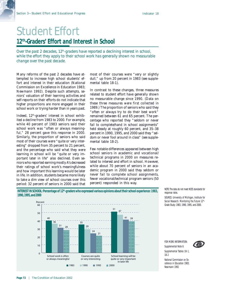### *Student Effort* **12th-Graders' Effort and Interest in School**

*Over the past 2 decades, 12<sup>th</sup>-graders have reported a declining interest in school, while the effort they apply to their school work has generally shown no measurable change over the past decade.*

Many reforms of the past 2 decades have attempted to increase high school students' effort and interest in their education (National Commission on Excellence in Education 1983; Newmann 1992). Despite such attempts, seniors' valuation of their learning activities and self-reports on their efforts do not indicate that higher proportions are more engaged in their school work or trying harder than in years past.

Indeed, 12<sup>th</sup>-graders' interest in school exhibited a decline from 1983 to 2000. For example, while 40 percent of 1983 seniors said their school work was "often or always meaningful," 28 percent gave this response in 2000. Similarly, the proportion of seniors who said most of their courses were "quite or very interesting" dropped from 35 percent to 21 percent, and the percentage who said what they were learning in school will be "quite or very important later in life" also declined. Even seniors who reported earning mostly A's decreased their ratings of school work's meaningfulness and how important this learning would be later in life. In addition, students became more likely to take a dim view of school courses over this period: 32 percent of seniors in 2000 said that

most of their courses were "very or slightly dull," up from 20 percent in 1983 (see supplemental table 18-1).

In contrast to these changes, three measures related to student effort have generally shown no measurable change since 1990. (Data on these three measures were first collected in 1989.) The proportion of seniors who said they "often or always try to do their best work" remained between 61 and 65 percent. The percentage who reported they "seldom or never fail to complete/hand in school assignments" held steady at roughly 60 percent, and 35–38 percent in 1990, 1995, and 2000 said they "seldom or never fool around in class" (see supplemental table 18-2).

Few notable differences appeared between high school seniors in academic and vocational/ technical programs in 2000 on measures related to interest and effort in school. However, while about 70 percent of seniors in an academic program in 2000 said they seldom or never fail to complete school assignments, fewer vocational/technical program seniors (50 percent) responded in this way.





NOTE: The data do not meet NCES standards for response rates.

SOURCE: University of Michigan, Institute for Social Research. Monitoring the Future 12<sup>th</sup>-Grade Study: 1983, 1990, 1995, and 2000.

#### FOR MORE INFORMATION: Supplemental Note 6

Supplemental Tables 18-1, 18-2

National Commission on Excellence in Education 1983; Newmann 1992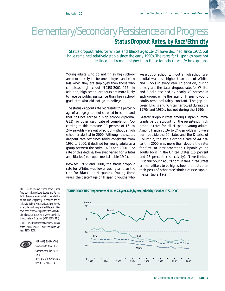### *Elementary/Secondary Persistence and Progress* **Status Dropout Rates, by Race/Ethnicity**

*Status dropout rates for Whites and Blacks ages 16–24 have declined since 1972, but have remained relatively stable since the early 1990s. The rates for Hispanics have not declined and remain higher than those for other racial/ethnic groups.*

Young adults who do not finish high school are more likely to be unemployed and earn less when they are employed than those who completed high school (NCES 2001–022). In addition, high school dropouts are more likely to receive public assistance than high school graduates who did not go to college.

The status dropout rate represents the percentage of an age group not enrolled in school and that has not earned a high school diploma, GED, or other certificate of completion. According to this measure, 11 percent of 16- to 24-year-olds were out of school without a high school credential in 2000. Although the status dropout rate remained fairly consistent from 1992 to 2000, it declined for young adults as a group between the early 1970s and 2000. The rate of this decline, however, varied for Whites and Blacks (see supplemental table 19-1).

Between 1972 and 2000, the status dropout rate for Whites was lower each year than the rate for Blacks or Hispanics. During these years, the percentage of Hispanic youths who

were out of school without a high school credential was also higher than that of Whites and Blacks in every year. In addition, during these years, the status dropout rates for Whites and Blacks declined by nearly 40 percent in each group, while the rate for Hispanic young adults remained fairly constant. The gap between Blacks and Whites narrowed during the 1970s and 1980s, but not during the 1990s.

Greater dropout rates among Hispanic immigrants partly account for the persistently high dropout rates for all Hispanic young adults. Among Hispanic 16- to 24-year-olds who were born outside the 50 states and the District of Columbia, the status dropout rate of 44 percent in 2000 was more than double the rates for first- or later-generation Hispanic young adults born in the United States (15 percent and 16 percent, respectively). Nevertheless, Hispanic young adults born in the United States are more likely to be high school dropouts than their peers of other race/ethnicities (see supplemental table 19-2).

NOTE: Due to relatively small sample sizes, American Indians/Alaska Natives and Asians/ Pacific Islanders are included in the total but are not shown separately. In addition, the erratic nature of the Hispanic status rates reflects, in part, the small sample size of Hispanics. Data have been reported separately for Asian/Pacific Islanders since 1998. In 2000, they had a dropout rate of 4 percent (NCES 2002–114).

SOURCE: U.S. Department of Commerce, Bureau of the Census. October Current Population Surveys, 1972–2000.



FOR MORE INFORMATION: Supplemental Notes 1, 2 Supplemental Tables 19-1, 19-2 NCES 98–013; NCES 2001– 022; NCES 2002–114

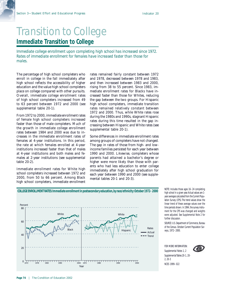#### *Transition to College* **Immediate Transition to College**

*Immediate college enrollment upon completing high school has increased since 1972. Rates of immediate enrollment for females have increased faster than those for males.*

The percentage of high school completers who enroll in college in the fall immediately after high school reflects the accessibility of higher education and the value high school completers place on college compared with other pursuits. Overall, immediate college enrollment rates of high school completers increased from 49 to 63 percent between 1972 and 2000 (see supplemental table 20-1).

From 1972 to 2000, immediate enrollment rates of female high school completers increased faster than those of male completers. Much of the growth in immediate college enrollment rates between 1984 and 2000 was due to increases in the immediate enrollment rates of females at 4-year institutions. In this period, the rate at which females enrolled at 4-year institutions increased faster than that of males at 4-year institutions and both males and females at 2-year institutions (see supplemental table 20-2).

Immediate enrollment rates for White high school completers increased between 1972 and 2000, from 50 to 66 percent. Among Black high school completers, immediate enrollment rates remained fairly constant between 1972 and 1978, decreased between 1978 and 1983, and then increased between 1983 and 2000, rising from 38 to 55 percent. Since 1983, immediate enrollment rates for Blacks have increased faster than those for Whites, reducing the gap between the two groups. For Hispanic high school completers, immediate transition rates remained relatively constant between 1972 and 2000. Thus, while White rates rose during the 1980s and 1990s, stagnant Hispanic rates during this time resulted in the gap increasing between Hispanic and White rates (see supplemental table 20-1).

Some differences in immediate enrollment rates among groups of completers have not changed. The gap in rates of those from high- and lowincome families persisted for each year between 1990 and 2000. Likewise, completers whose parents had attained a bachelor's degree or higher were more likely than those with parents who had less education to enter college immediately after high school graduation for each year between 1990 and 2000 (see supplemental tables 20-1 and 20-3).



**COLLEGE ENROLLMENT RATES: Immediate enrollment in postsecondary education, by race/ethnicity: October 1972–2000**

NOTE: Includes those ages 16–24 completing high school in a given year. Actual values are 1 year averages calculated from the Current Population Survey (CPS). The trend values show the linear trend of these average values over the time periods shown. In 1994, the survey instrument for the CPS was changed and weights were adjusted. Se*e Supplemental Note 2* for further discussion.

SOURCE: U.S. Department of Commerce, Bureau of the Census. October Current Population Surveys, 1972–2000.

FOR MORE INFORMATION: Supplemental Notes 1, 2 Supplemental Tables 20-1, 20- 2, 20-3 NCES 1999–022

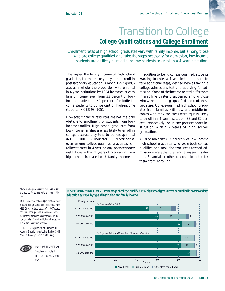#### *Transition to College* **College Qualifications and College Enrollment**

*Enrollment rates of high school graduates vary with family income, but among those who are college qualified and take the steps necessary for admission, low-income students are as likely as middle-income students to enroll in a 4-year institution.*

The higher the family income of high school graduates, the more likely they are to enroll in postsecondary education. Among 1992 graduates as a whole, the proportion who enrolled in 4-year institutions by 1994 increased at each family income level, from 33 percent of lowincome students to 47 percent of middle-income students to 77 percent of high-income students (NCES 98–105).

However, financial resources are not the only obstacle to enrollment for students from lowincome families. High school graduates from low-income families are less likely to enroll in college because they tend to be less qualified (NCES 2000–062, *indicator 30*). Nevertheless, even among college-qualified graduates, enrollment rates in 4-year or any postsecondary institutions within 2 years of graduating from high school increased with family income.

In addition to being college qualified, students wanting to enter a 4-year institution need to take additional steps, defined here as taking a college admissions test and applying for admission. Some of the income-related differences in enrollment rates disappeared among those who were both college qualified and took these two steps. College-qualified high school graduates from families with low and middle incomes who took the steps were equally likely to enroll in a 4-year institution (83 and 82 percent, respectively) or in any postsecondary institution within 2 years of high school graduation.

A large majority (83 percent) of low-income high school graduates who were both college qualified and took the two steps toward admission were able to attend a 4-year institution. Financial or other reasons did not deter them from enrolling.

\*Took a college admissions test (SAT or ACT) and applied for admission to a 4-year institution.

NOTE: The 4-year College Qualification Index is based on high school GPA, senior class rank, NELS 1992 aptitude test, SAT or ACT scores, and curricular rigor. See *Supplemental Note 11* for further information about the College Qualification Index. Type of institution attended refers to first institution attended.

SOURCE: U.S. Department of Education, NCES. National Education Longitudinal Study of 1988, "Third Follow-up" (NELS: 1988/1994).



FOR MORE INFORMATION: Supplemental Note 11 NCES 98–105, NCES 2000– 062

**POSTSECONDARY ENROLLMENT: Percentage of college-qualified 1992 high school graduates who enrolled in postsecondary education by 1994, by type of institution and family income**

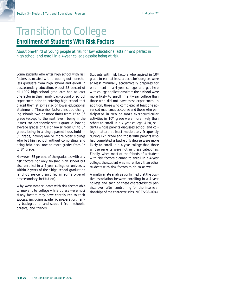#### *Transition to College* **Enrollment of Students With Risk Factors**

*About one-third of young people at risk for low educational attainment persist in high school and enroll in a 4-year college despite being at risk.*

Some students who enter high school with risk factors associated with dropping out nonetheless graduate from high school and enroll in postsecondary education. About 58 percent of all 1992 high school graduates had at least one factor in their family background or school experiences prior to entering high school that placed them at some risk of lower educational attainment. These risk factors include changing schools two or more times from  $1<sup>st</sup>$  to  $8<sup>th</sup>$ grade (except to the next level), being in the lowest socioeconomic status quartile, having average grades of C's or lower from 6th to 8th grade, being in a single-parent household in 8<sup>th</sup> grade, having one or more older siblings who left high school without completing, and being held back one or more grades from 1<sup>st</sup> to 8<sup>th</sup> grade.

However, 35 percent of the graduates with any risk factors not only finished high school but also enrolled in a 4-year college or university within 2 years of their high school graduation (and 68 percent enrolled in some type of postsecondary institution).

Why were some students with risk factors able to make it to college while others were not? Many factors may have contributed to their success, including academic preparation, family background, and support from schools, parents, and friends.

Students with risk factors who aspired in  $10<sup>th</sup>$ grade to earn at least a bachelor's degree, were at least minimally academically prepared for enrollment in a 4-year college, and got help with college applications from their school were more likely to enroll in a 4-year college than those who did not have these experiences. In addition, those who completed at least one advanced mathematics course and those who participated in two or more extracurricular activities in 10<sup>th</sup> grade were more likely than others to enroll in a 4-year college. Also, students whose parents discussed school and college matters at least moderately frequently during 12<sup>th</sup> grade and those with parents who had completed a bachelor's degree were more likely to enroll in a 4-year college than those whose parents were not in these categories. Finally, when most of the friends of a student with risk factors planned to enroll in a 4-year college, the student was more likely than other students with risk factors to do so as well.

A multivariate analysis confirmed that the positive association between enrolling in a 4-year college and each of these characteristics persists even after controlling for the interrelationships of the characteristics (NCES 98–094).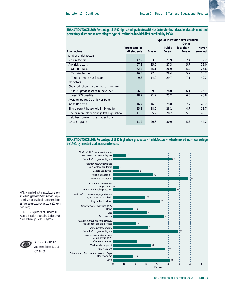**TRANSITION TO COLLEGE: Percentage of 1992 high school graduates with risk factors for low educational attainment, and percentage distribution according to type of institution in which first enrolled (by 1994)**

|                                             |               | Type of institution first enrolled |               |            |              |
|---------------------------------------------|---------------|------------------------------------|---------------|------------|--------------|
|                                             |               |                                    | Other         |            |              |
|                                             | Percentage of |                                    | <b>Public</b> | less-than- | <b>Never</b> |
| <b>Risk factors</b>                         | all students  | 4-year                             | 2-year        | 4-year     | enrolled     |
| Number of risk factors                      |               |                                    |               |            |              |
| No risk factors                             | 42.2          | 63.5                               | 21.9          | 2.4        | 12.2         |
| Any risk factors                            | 57.8          | 35.0                               | 27.3          | 5.7        | 32.0         |
| One risk factor                             | 32.2          | 45.1                               | 26.0          | 5.2        | 23.8         |
| Two risk factors                            | 16.3          | 27.0                               | 28.4          | 5.9        | 38.7         |
| Three or more risk factors                  | 9.3           | 14.0                               | 29.7          | 7.1        | 49.2         |
| Risk factors                                |               |                                    |               |            |              |
| Changed schools two or more times from      |               |                                    |               |            |              |
| $1st$ to $8th$ grade (except to next level) | 26.8          | 39.8                               | 28.0          | 6.1        | 26.1         |
| Lowest SES quartile                         | 18.2          | 21.7                               | 25.2          | 6.3        | 46.8         |
| Average grades C's or lower from            |               |                                    |               |            |              |
| 6 <sup>th</sup> to 8 <sup>th</sup> grade    | 16.7          | 16.3                               | 29.8          | 7.7        | 46.2         |
| Single-parent household in 8th grade        | 15.3          | 38.6                               | 28.1          | 4.7        | 28.7         |
| One or more older siblings left high school | 11.2          | 25.7                               | 28.7          | 5.5        | 40.1         |
| Held back one or more grades from           |               |                                    |               |            |              |
| 1 <sup>st</sup> to 8 <sup>th</sup> grade    | 11.2          | 20.6                               | 30.0          | 5.3        | 44.2         |

#### **TRANSITION TO COLLEGE: Percentage of 1992 high school graduates with risk factors who had enrolled in a 4-year college by 1994, by selected student characteristics**



NOTE: High school mathematics levels are described in *Supplemental Note 5*. Academic preparation levels are described in *Supplemental Note 11.* Table percentages may not add to 100.0 due to rounding.

SOURCE: U.S. Department of Education, NCES. National Education Longitudinal Study of 1988, "Third Follow-up" (NELS:1988/1994).



FOR MORE INFORMATION: Supplemental Notes 1, 5, 11 NCES 98–094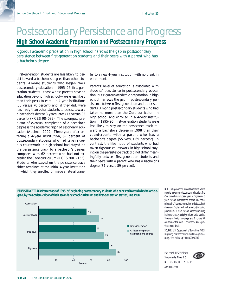### *Postsecondary Persistence and Progress* **High School Academic Preparation and Postsecondary Progress**

*Rigorous academic preparation in high school narrows the gap in postsecondary persistence between first-generation students and their peers with a parent who has a bachelor's degree.*

First-generation students are less likely to persist toward a bachelor's degree than other students. Among students who began their postsecondary education in 1995–96, first-generation students—those whose parents have no education beyond high school—were less likely than their peers to enroll in 4-year institutions (30 versus 70 percent) and, if they did, were less likely than other students to persist toward a bachelor's degree 3 years later (13 versus 33 percent) (NCES 98–082). The strongest predictor of eventual completion of a bachelor's degree is the academic rigor of secondary education (Adelman 1999). Three years after entering a 4-year institution, 87 percent of postsecondary students who had taken rigorous coursework in high school had stayed on the persistence track to a bachelor's degree, compared with 62 percent who had not exceeded the Core curriculum (NCES 2001–153). Students who stayed on the persistence track either remained at the initial 4-year institution in which they enrolled or made a lateral transfer to a new 4-year institution with no break in enrollment.

Parents' level of education is associated with students' persistence in postsecondary education, but rigorous academic preparation in high school narrows the gap in postsecondary persistence between first-generation and other students. Among postsecondary students who had taken no more than the Core curriculum in high school and enrolled in a 4-year institution in 1995–96, first-generation students were less likely to stay on the persistence track toward a bachelor's degree in 1998 than their counterparts with a parent who has a bachelor's degree (55 versus 69 percent). In contrast, the likelihood of students who had taken rigorous coursework in high school staying on the persistence track did not differ meaningfully between first-generation students and their peers with a parent who has a bachelor's degree (81 versus 89 percent).

**PERSISTENCE TRACK: Percentage of 1995–96 beginning postsecondary students who persisted toward a bachelor's degree, by the academic rigor of their secondary school curriculum and first-generation status: June 1998**



NOTE: First-generation students are those whose parents have no postsecondary education. The Core curriculum includes 4 years of English and 3 years each of mathematics, science, and social science. The "rigorous" curriculum includes at least 4 years of English and mathematics (including precalculus), 3 years each of science (including biology, chemistry, and physics) and social studies, 3 years of foreign language, and 1 honors/AP course or AP test score. *Supplemental Note 5* provides more detail.

SOURCE: U.S. Department of Education, NCES. Beginning Postsecondary Students Longitudinal Study, "First Follow-up" (BPS:1996/1998).

FOR MORE INFORMATION: Supplemental Notes 1, 5 NCES 98–082, NCES 2001–153 Adelman 1999

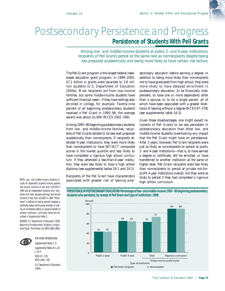#### *Postsecondary Persistence and Progress* **Persistence of Students With Pell Grants**

*Among low- and middle-income students at public 2- and 4-year institutions, recipients of Pell Grants persist at the same rate as nonrecipients despite being less prepared academically and being more likely to have certain risk factors.*

The Pell Grant program is the largest federal needbased education grant program. In 1999–2000, \$7.2 billion in grants were awarded to 3.8 million students (U.S. Department of Education 2000e). Most recipients are from low-income families, but some middle-income students have sufficient financial need—if they have siblings also enrolled in college, for example. Twenty-nine percent of all beginning postsecondary students received a Pell Grant in 1995–96; the average award was about \$1,600 (NCES 2002–169).

Among 1995–96 beginning postsecondary students from low- and middle-income families, recipients of Pell Grants tended to be less well prepared academically than nonrecipients. If recipients attended 4-year institutions, they were more likely than nonrecipients to have SAT/ACT composite scores in the lowest quartile and less likely to have completed a rigorous high school curriculum. If they attended a less-than-4-year institution, they were less likely to have a high school diploma (see supplemental tables 24-1 and 24-2).

Recipients of the Pell Grant have characteristics associated with greater risk of leaving postsecondary education before earning a degree. In addition to being more likely than nonrecipients not to have graduated from high school, they were more likely to have delayed enrollment in postsecondary education, to be financially independent, to have one or more dependents other than a spouse, or to be a single parent, all of which have been associated with a greater likelihood of leaving without a degree (NCES 97–578) (see supplemental table 24-3).

Given these disadvantages, one might expect recipients of Pell Grants to be less persistent in postsecondary education than other low- and middle-income students (overlooking any impact that the Pell Grant might have on persistence). After 3 years, however, Pell Grant recipients were just as likely as nonrecipients to persist at public 2- and 4-year institutions—that is, to have earned a degree or certificate, still be enrolled, or have transferred to another institution at the same or higher level. Pell Grant recipients were less likely than nonrecipients to persist at private not-forprofit 4-year institutions overall, but they were as likely to persist if they had completed a rigorous high school curriculum.

NOTE: Low- and middle-income students include all dependent students whose parents had annual incomes of less than \$70,000 in 1994 and all independent students who, combined with their spouse's earnings, had annual incomes of less than \$25,000 in 1994. "Persistence" is defined as having earned a degree or certificate, being continuously enrolled, or making an immediate lateral or upward transfer to another institution. Curriculum levels are described in *Supplemental Note 5.*

SOURCE: U.S. Department of Education, NCES. Beginning Postsecondary Students Longitudinal Study, "First Follow-up" (BPS:1996/1998).



FOR MORE INFORMATION: Supplemental Notes 5, 9

Supplemental Tables 24-1, 24- 2, 24-3 NCES 97–578, NCES 2002–169 U.S. Department of Education 2000e

**PERSISTENCE IN POSTSECONDARY EDUCATION: Percentage of low- and middle-income 1995–96 beginning postsecondary students who persisted, by receipt of Pell Grant and type of institution: 1998**

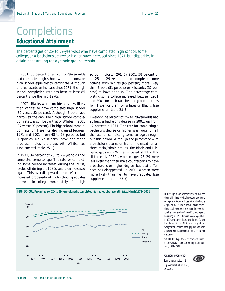### *Completions* **Educational Attainment**

*The percentages of 25- to 29-year-olds who have completed high school, some college, or a bachelor's degree or higher have increased since 1971, but disparities in attainment among racial/ethnic groups remain.*

In 2001, 88 percent of all 25- to 29-year-olds had completed high school with a diploma or high school equivalency certificate. Although this represents an increase since 1971, the high school completion rate has been at least 85 percent since the mid-1970s.

In 1971, Blacks were considerably less likely than Whites to have completed high school (59 versus 82 percent). Although Blacks have narrowed the gap, their high school completion rate was still below that of Whites in 2001 (87 versus 93 percent). The high school completion rate for Hispanics also increased between 1971 and 2001 (from 48 to 63 percent), but Hispanics, unlike Blacks, have not made progress in closing the gap with Whites (see supplemental table 25-1).

In 1971, 34 percent of 25- to 29-year-olds had completed some college. The rate for completing some college increased during the 1970s, leveled off during the 1980s, and then increased again. This overall upward trend reflects the increased propensity of high school graduates to enroll in college immediately after high school (*indicator 20*). By 2001, 58 percent of all 25- to 29-year-olds had completed some college, with Whites (65 percent) more likely than Blacks (51 percent) or Hispanics (32 percent) to have done so. The percentage completing some college increased between 1971 and 2001 for each racial/ethnic group, but less for Hispanics than for Whites or Blacks (see supplemental table 25-2).

Twenty-nine percent of 25- to 29-year-olds had at least a bachelor's degree in 2001, up from 17 percent in 1971. The rate for completing a bachelor's degree or higher was roughly half the rate for completing some college throughout this period. Although the percentage with a bachelor's degree or higher increased for all three racial/ethnic groups, the Black and Hispanic gaps with Whites widened slightly. Until the early 1980s, women aged 25–29 were less likely than their male counterparts to have a bachelor's or higher degree, but that difference has disappeared. In 2001, women were more likely than men to have graduated (see supplemental table 25-3).



NOTE: "High school completers" also includes those with higher levels of education, and "some college" also includes those with a bachelor's degree or higher. The questions about educational attainment were reworded in 1992. Before then, "some college" meant 1 or more years; beginning in 1992, it meant any college at all. In 1994, the survey instrument for the Current Population Survey (CPS) was changed and weights for undercounted populations were adjusted. See *Supplemental Note 2* for further discussion.

SOURCE: U.S. Department of Commerce, Bureau of the Census. March Current Population Surveys, 1971–2001.

FOR MORE INFORMATION: Supplemental Notes 1, 2 Supplemental Tables 25-1, 25-2, 25-3